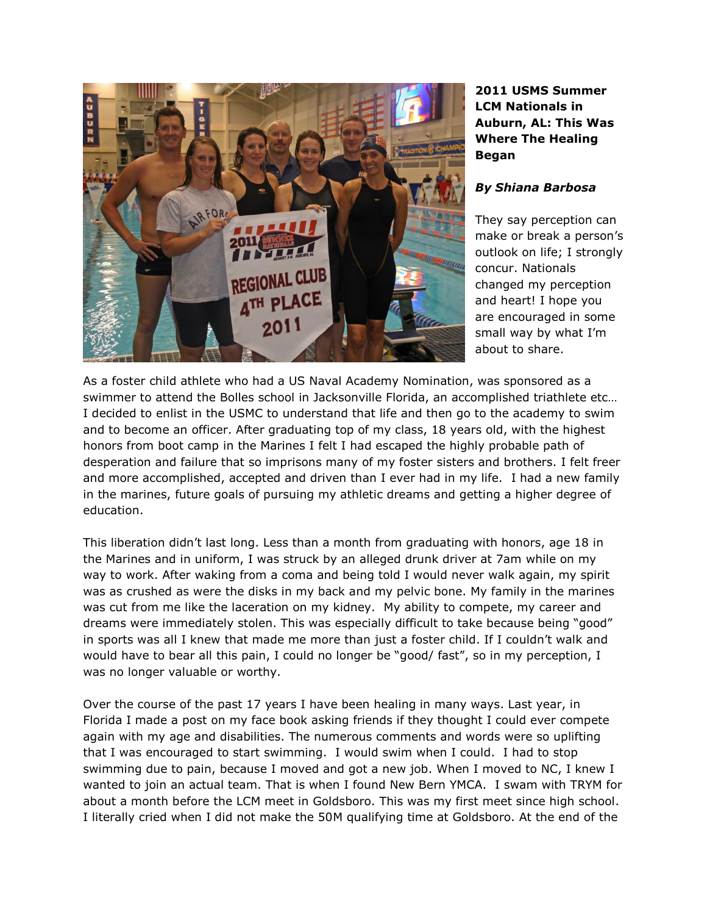

## **2011 USMS Summer LCM Nationals in Auburn, AL: This Was Where The Healing Began**

## *By Shiana Barbosa*

They say perception can make or break a person's outlook on life; I strongly concur. Nationals changed my perception and heart! I hope you are encouraged in some small way by what I'm about to share.

As a foster child athlete who had a US Naval Academy Nomination, was sponsored as a swimmer to attend the Bolles school in Jacksonville Florida, an accomplished triathlete etc… I decided to enlist in the USMC to understand that life and then go to the academy to swim and to become an officer. After graduating top of my class, 18 years old, with the highest honors from boot camp in the Marines I felt I had escaped the highly probable path of desperation and failure that so imprisons many of my foster sisters and brothers. I felt freer and more accomplished, accepted and driven than I ever had in my life. I had a new family in the marines, future goals of pursuing my athletic dreams and getting a higher degree of education.

This liberation didn't last long. Less than a month from graduating with honors, age 18 in the Marines and in uniform, I was struck by an alleged drunk driver at 7am while on my way to work. After waking from a coma and being told I would never walk again, my spirit was as crushed as were the disks in my back and my pelvic bone. My family in the marines was cut from me like the laceration on my kidney. My ability to compete, my career and dreams were immediately stolen. This was especially difficult to take because being "good" in sports was all I knew that made me more than just a foster child. If I couldn't walk and would have to bear all this pain, I could no longer be "good/ fast", so in my perception, I was no longer valuable or worthy.

Over the course of the past 17 years I have been healing in many ways. Last year, in Florida I made a post on my face book asking friends if they thought I could ever compete again with my age and disabilities. The numerous comments and words were so uplifting that I was encouraged to start swimming. I would swim when I could. I had to stop swimming due to pain, because I moved and got a new job. When I moved to NC, I knew I wanted to join an actual team. That is when I found New Bern YMCA. I swam with TRYM for about a month before the LCM meet in Goldsboro. This was my first meet since high school. I literally cried when I did not make the 50M qualifying time at Goldsboro. At the end of the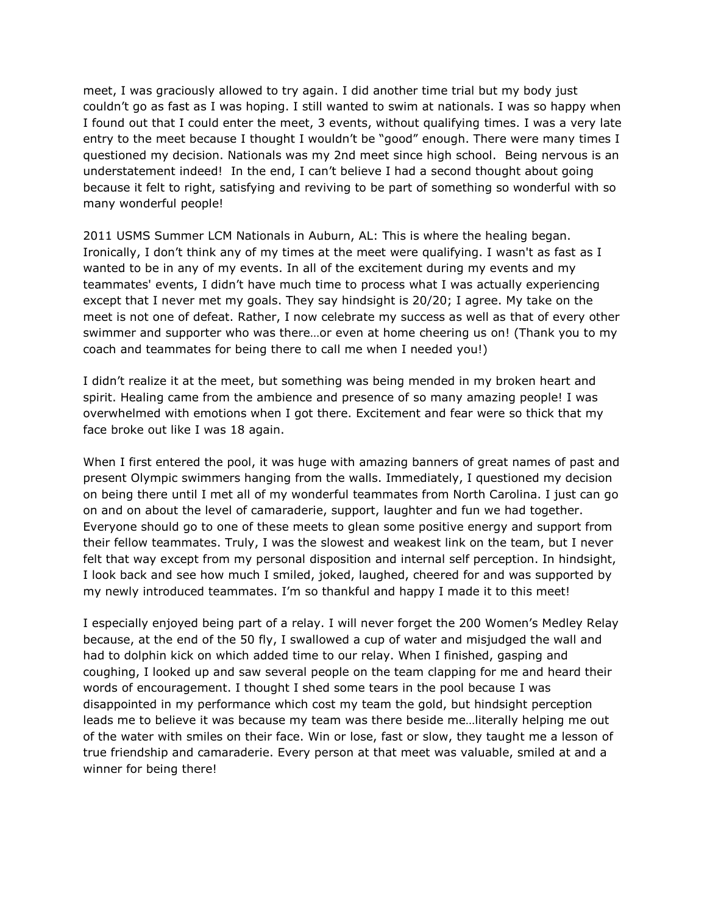meet, I was graciously allowed to try again. I did another time trial but my body just couldn't go as fast as I was hoping. I still wanted to swim at nationals. I was so happy when I found out that I could enter the meet, 3 events, without qualifying times. I was a very late entry to the meet because I thought I wouldn't be "good" enough. There were many times I questioned my decision. Nationals was my 2nd meet since high school. Being nervous is an understatement indeed! In the end, I can't believe I had a second thought about going because it felt to right, satisfying and reviving to be part of something so wonderful with so many wonderful people!

2011 USMS Summer LCM Nationals in Auburn, AL: This is where the healing began. Ironically, I don't think any of my times at the meet were qualifying. I wasn't as fast as I wanted to be in any of my events. In all of the excitement during my events and my teammates' events, I didn't have much time to process what I was actually experiencing except that I never met my goals. They say hindsight is 20/20; I agree. My take on the meet is not one of defeat. Rather, I now celebrate my success as well as that of every other swimmer and supporter who was there…or even at home cheering us on! (Thank you to my coach and teammates for being there to call me when I needed you!)

I didn't realize it at the meet, but something was being mended in my broken heart and spirit. Healing came from the ambience and presence of so many amazing people! I was overwhelmed with emotions when I got there. Excitement and fear were so thick that my face broke out like I was 18 again.

When I first entered the pool, it was huge with amazing banners of great names of past and present Olympic swimmers hanging from the walls. Immediately, I questioned my decision on being there until I met all of my wonderful teammates from North Carolina. I just can go on and on about the level of camaraderie, support, laughter and fun we had together. Everyone should go to one of these meets to glean some positive energy and support from their fellow teammates. Truly, I was the slowest and weakest link on the team, but I never felt that way except from my personal disposition and internal self perception. In hindsight, I look back and see how much I smiled, joked, laughed, cheered for and was supported by my newly introduced teammates. I'm so thankful and happy I made it to this meet!

I especially enjoyed being part of a relay. I will never forget the 200 Women's Medley Relay because, at the end of the 50 fly, I swallowed a cup of water and misjudged the wall and had to dolphin kick on which added time to our relay. When I finished, gasping and coughing, I looked up and saw several people on the team clapping for me and heard their words of encouragement. I thought I shed some tears in the pool because I was disappointed in my performance which cost my team the gold, but hindsight perception leads me to believe it was because my team was there beside me…literally helping me out of the water with smiles on their face. Win or lose, fast or slow, they taught me a lesson of true friendship and camaraderie. Every person at that meet was valuable, smiled at and a winner for being there!